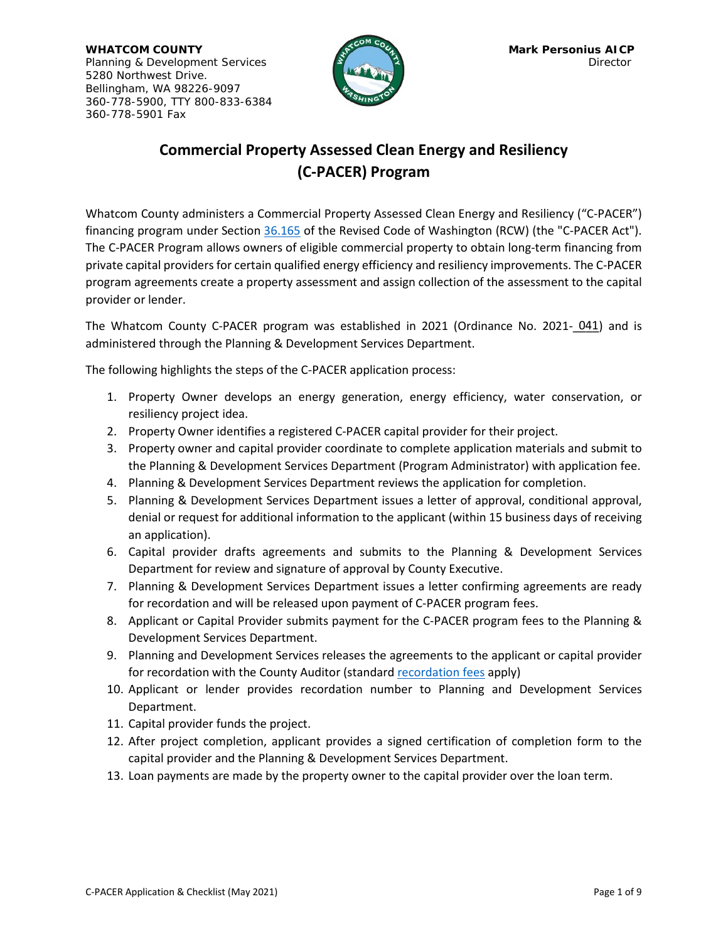**WHATCOM COUNTY COUNTY COUNTY COUNTY COUNTY COUNTY COUNTY COUNTY COUNTY COUNTY COUNTY COUNTY COUNTY COUNTY COUNTY** Planning & Development Services **Director Planning & Development Services** Director 5280 Northwest Drive. Bellingham, WA 98226-9097 360-778-5900, TTY 800-833-6384 360-778-5901 Fax



## **Commercial Property Assessed Clean Energy and Resiliency (C-PACER) Program**

Whatcom County administers a Commercial Property Assessed Clean Energy and Resiliency ("C-PACER") financing program under Section [36.165](https://app.leg.wa.gov/RCW/default.aspx?cite=36.165) of the Revised Code of Washington (RCW) (the "C-PACER Act"). The C-PACER Program allows owners of eligible commercial property to obtain long-term financing from private capital providers for certain qualified energy efficiency and resiliency improvements. The C-PACER program agreements create a property assessment and assign collection of the assessment to the capital provider or lender.

The Whatcom County C-PACER program was established in 2021 (Ordinance No. 2021-041) and is administered through the Planning & Development Services Department.

The following highlights the steps of the C-PACER application process:

- 1. Property Owner develops an energy generation, energy efficiency, water conservation, or resiliency project idea.
- 2. Property Owner identifies a registered C-PACER capital provider for their project.
- 3. Property owner and capital provider coordinate to complete application materials and submit to the Planning & Development Services Department (Program Administrator) with application fee.
- 4. Planning & Development Services Department reviews the application for completion.
- 5. Planning & Development Services Department issues a letter of approval, conditional approval, denial or request for additional information to the applicant (within 15 business days of receiving an application).
- 6. Capital provider drafts agreements and submits to the Planning & Development Services Department for review and signature of approval by County Executive.
- 7. Planning & Development Services Department issues a letter confirming agreements are ready for recordation and will be released upon payment of C-PACER program fees.
- 8. Applicant or Capital Provider submits payment for the C-PACER program fees to the Planning & Development Services Department.
- 9. Planning and Development Services releases the agreements to the applicant or capital provider for recordation with the County Auditor (standard [recordation fees](https://www.whatcomcounty.us/1864/Recording-Fees) apply)
- 10. Applicant or lender provides recordation number to Planning and Development Services Department.
- 11. Capital provider funds the project.
- 12. After project completion, applicant provides a signed certification of completion form to the capital provider and the Planning & Development Services Department.
- 13. Loan payments are made by the property owner to the capital provider over the loan term.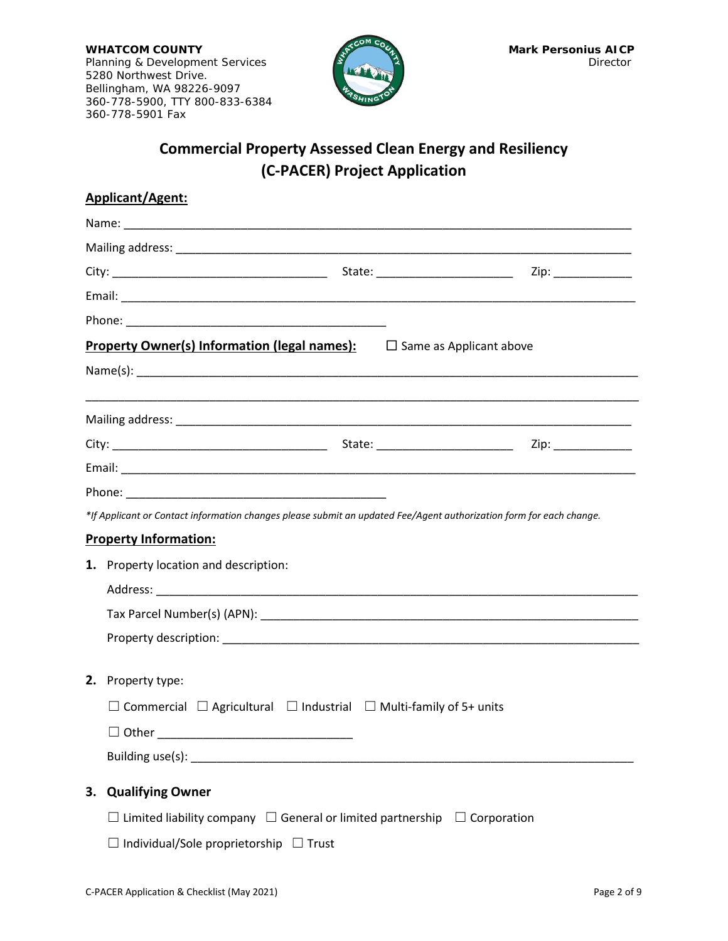**WHATCOM COUNTY** Mark Personius AICP<br>Planning & Development Services Director Planning & Development Services 5280 Northwest Drive. Bellingham, WA 98226-9097 360-778-5900, TTY 800-833-6384 360-778-5901 Fax



## **Commercial Property Assessed Clean Energy and Resiliency (C-PACER) Project Application**

|    | Applicant/Agent:                                                                                                                                                                                                               |  |  |  |  |
|----|--------------------------------------------------------------------------------------------------------------------------------------------------------------------------------------------------------------------------------|--|--|--|--|
|    |                                                                                                                                                                                                                                |  |  |  |  |
|    |                                                                                                                                                                                                                                |  |  |  |  |
|    |                                                                                                                                                                                                                                |  |  |  |  |
|    |                                                                                                                                                                                                                                |  |  |  |  |
|    |                                                                                                                                                                                                                                |  |  |  |  |
|    | <b>Property Owner(s) Information (legal names):</b><br>$\Box$ Same as Applicant above                                                                                                                                          |  |  |  |  |
|    |                                                                                                                                                                                                                                |  |  |  |  |
|    |                                                                                                                                                                                                                                |  |  |  |  |
|    |                                                                                                                                                                                                                                |  |  |  |  |
|    |                                                                                                                                                                                                                                |  |  |  |  |
|    |                                                                                                                                                                                                                                |  |  |  |  |
|    | *If Applicant or Contact information changes please submit an updated Fee/Agent authorization form for each change.                                                                                                            |  |  |  |  |
|    | <b>Property Information:</b>                                                                                                                                                                                                   |  |  |  |  |
|    | 1. Property location and description:                                                                                                                                                                                          |  |  |  |  |
|    |                                                                                                                                                                                                                                |  |  |  |  |
|    |                                                                                                                                                                                                                                |  |  |  |  |
|    |                                                                                                                                                                                                                                |  |  |  |  |
| 2. | Property type:                                                                                                                                                                                                                 |  |  |  |  |
|    | $\Box$ Commercial $\Box$ Agricultural $\Box$ Industrial $\Box$ Multi-family of 5+ units                                                                                                                                        |  |  |  |  |
|    |                                                                                                                                                                                                                                |  |  |  |  |
|    | Building use(s): Note also a set of the set of the set of the set of the set of the set of the set of the set of the set of the set of the set of the set of the set of the set of the set of the set of the set of the set of |  |  |  |  |
| 3. | <b>Qualifying Owner</b>                                                                                                                                                                                                        |  |  |  |  |
|    | $\Box$ Limited liability company $\Box$ General or limited partnership $\Box$ Corporation                                                                                                                                      |  |  |  |  |
|    | Individual/Sole proprietorship $\Box$ Trust                                                                                                                                                                                    |  |  |  |  |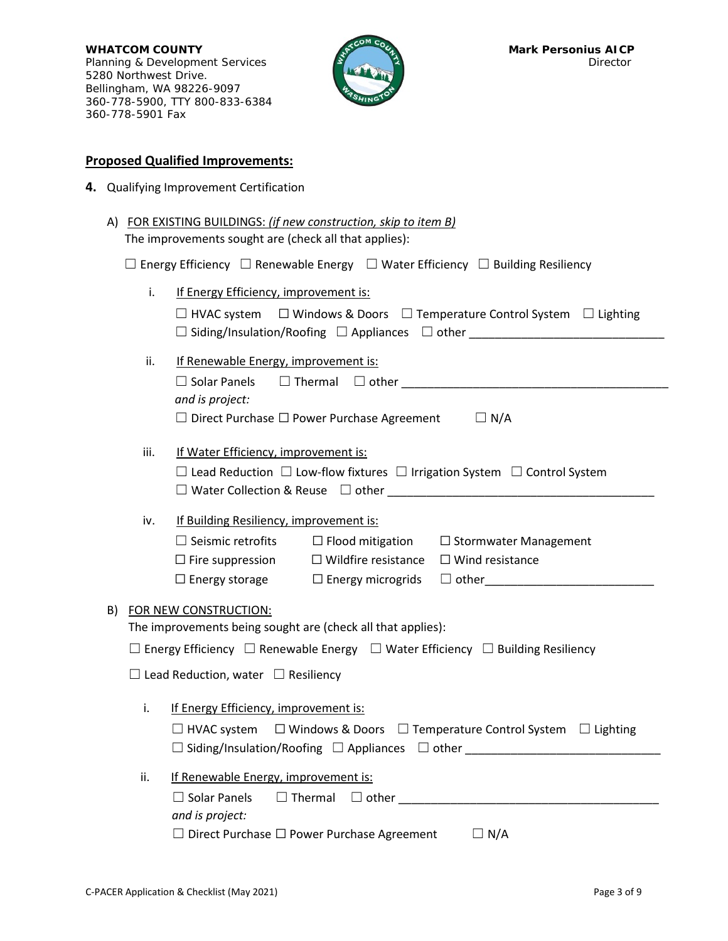**WHATCOM COUNTY Mark Personius AICP** Planning & Development Services **Director Planning & Development Services** Director 5280 Northwest Drive. Bellingham, WA 98226-9097 360-778-5900, TTY 800-833-6384 360-778-5901 Fax



## **Proposed Qualified Improvements:**

- **4.** Qualifying Improvement Certification
	- A) FOR EXISTING BUILDINGS: *(if new construction, skip to item B)* The improvements sought are (check all that applies): ☐ Energy Efficiency ☐ Renewable Energy ☐ Water Efficiency ☐ Building Resiliency

|                                                                                                                                               | i.                                                                                   | If Energy Efficiency, improvement is:                                                               |  |  |  |  |
|-----------------------------------------------------------------------------------------------------------------------------------------------|--------------------------------------------------------------------------------------|-----------------------------------------------------------------------------------------------------|--|--|--|--|
|                                                                                                                                               |                                                                                      | $\Box$ HVAC system $\Box$ Windows & Doors $\Box$ Temperature Control System $\Box$ Lighting         |  |  |  |  |
|                                                                                                                                               |                                                                                      | $\square$ Siding/Insulation/Roofing $\square$ Appliances $\square$ other                            |  |  |  |  |
|                                                                                                                                               | ii.                                                                                  | If Renewable Energy, improvement is:                                                                |  |  |  |  |
|                                                                                                                                               |                                                                                      |                                                                                                     |  |  |  |  |
|                                                                                                                                               |                                                                                      | and is project:                                                                                     |  |  |  |  |
|                                                                                                                                               |                                                                                      | $\Box$ Direct Purchase $\Box$ Power Purchase Agreement $\Box$ N/A                                   |  |  |  |  |
|                                                                                                                                               |                                                                                      |                                                                                                     |  |  |  |  |
| iii.<br>If Water Efficiency, improvement is:<br>$\Box$ Lead Reduction $\Box$ Low-flow fixtures $\Box$ Irrigation System $\Box$ Control System |                                                                                      |                                                                                                     |  |  |  |  |
|                                                                                                                                               |                                                                                      |                                                                                                     |  |  |  |  |
|                                                                                                                                               |                                                                                      |                                                                                                     |  |  |  |  |
|                                                                                                                                               | iv.                                                                                  | If Building Resiliency, improvement is:                                                             |  |  |  |  |
|                                                                                                                                               |                                                                                      | $\Box$ Seismic retrofits<br>$\Box$ Flood mitigation $\Box$ Stormwater Management                    |  |  |  |  |
|                                                                                                                                               |                                                                                      | $\Box$ Fire suppression $\Box$ Wildfire resistance<br>$\Box$ Wind resistance                        |  |  |  |  |
|                                                                                                                                               |                                                                                      | □ other________________________<br>$\Box$ Energy storage $\Box$ Energy microgrids                   |  |  |  |  |
| B)                                                                                                                                            | FOR NEW CONSTRUCTION:<br>The improvements being sought are (check all that applies): |                                                                                                     |  |  |  |  |
|                                                                                                                                               |                                                                                      |                                                                                                     |  |  |  |  |
|                                                                                                                                               |                                                                                      | $\Box$ Energy Efficiency $\Box$ Renewable Energy $\Box$ Water Efficiency $\Box$ Building Resiliency |  |  |  |  |
|                                                                                                                                               |                                                                                      |                                                                                                     |  |  |  |  |
|                                                                                                                                               |                                                                                      | $\Box$ Lead Reduction, water $\Box$ Resiliency                                                      |  |  |  |  |
|                                                                                                                                               | i.                                                                                   | If Energy Efficiency, improvement is:                                                               |  |  |  |  |
|                                                                                                                                               |                                                                                      | $\Box$ HVAC system $\Box$ Windows & Doors $\Box$ Temperature Control System $\Box$ Lighting         |  |  |  |  |
|                                                                                                                                               |                                                                                      |                                                                                                     |  |  |  |  |
|                                                                                                                                               |                                                                                      |                                                                                                     |  |  |  |  |
|                                                                                                                                               | ii.                                                                                  | If Renewable Energy, improvement is:                                                                |  |  |  |  |
|                                                                                                                                               |                                                                                      | $\Box$ Solar Panels<br>$\Box$ Thermal $\Box$ other                                                  |  |  |  |  |
|                                                                                                                                               |                                                                                      | and is project:                                                                                     |  |  |  |  |

| $\Box$ Direct Purchase $\Box$ Power Purchase Agreement | $\Box N/A$ |
|--------------------------------------------------------|------------|
|                                                        |            |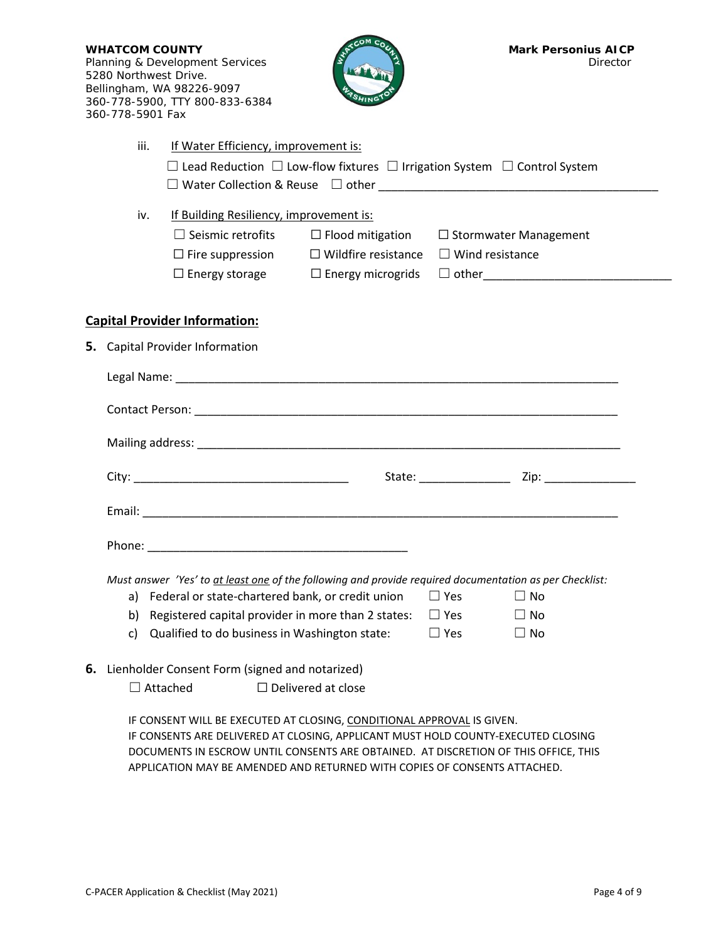| <b>WHATCOM COUNTY</b><br>5280 Northwest Drive.<br>360-778-5901 Fax                                                                                                                                                                                                                                                              | Planning & Development Services<br>Bellingham, WA 98226-9097<br>360-778-5900, TTY 800-833-6384                                                          |                           | <b>Mark Personius AICP</b><br>Director                                                                                                                                                                                         |  |  |
|---------------------------------------------------------------------------------------------------------------------------------------------------------------------------------------------------------------------------------------------------------------------------------------------------------------------------------|---------------------------------------------------------------------------------------------------------------------------------------------------------|---------------------------|--------------------------------------------------------------------------------------------------------------------------------------------------------------------------------------------------------------------------------|--|--|
| iii.                                                                                                                                                                                                                                                                                                                            | If Water Efficiency, improvement is:                                                                                                                    |                           | $\Box$ Lead Reduction $\Box$ Low-flow fixtures $\Box$ Irrigation System $\Box$ Control System                                                                                                                                  |  |  |
| iv.                                                                                                                                                                                                                                                                                                                             | If Building Resiliency, improvement is:<br>$\Box$ Seismic retrofits<br>$\Box$ Fire suppression $\Box$ Wildfire resistance $\Box$ Wind resistance        |                           | $\Box$ Flood mitigation $\Box$ Stormwater Management                                                                                                                                                                           |  |  |
|                                                                                                                                                                                                                                                                                                                                 | <b>Capital Provider Information:</b>                                                                                                                    |                           |                                                                                                                                                                                                                                |  |  |
| 5. Capital Provider Information                                                                                                                                                                                                                                                                                                 |                                                                                                                                                         |                           |                                                                                                                                                                                                                                |  |  |
|                                                                                                                                                                                                                                                                                                                                 |                                                                                                                                                         |                           | Legal Name: contract the contract of the contract of the contract of the contract of the contract of the contract of the contract of the contract of the contract of the contract of the contract of the contract of the contr |  |  |
|                                                                                                                                                                                                                                                                                                                                 |                                                                                                                                                         |                           |                                                                                                                                                                                                                                |  |  |
|                                                                                                                                                                                                                                                                                                                                 |                                                                                                                                                         |                           |                                                                                                                                                                                                                                |  |  |
|                                                                                                                                                                                                                                                                                                                                 |                                                                                                                                                         |                           |                                                                                                                                                                                                                                |  |  |
|                                                                                                                                                                                                                                                                                                                                 |                                                                                                                                                         |                           |                                                                                                                                                                                                                                |  |  |
|                                                                                                                                                                                                                                                                                                                                 |                                                                                                                                                         |                           |                                                                                                                                                                                                                                |  |  |
| a)<br>b)<br>c)                                                                                                                                                                                                                                                                                                                  | Federal or state-chartered bank, or credit union<br>Registered capital provider in more than 2 states:<br>Qualified to do business in Washington state: |                           | Must answer 'Yes' to at least one of the following and provide required documentation as per Checklist:<br>$\Box$ Yes<br>$\Box$ No<br>$\Box$ Yes<br>$\Box$ No<br>$\Box$ Yes<br>$\Box$ No                                       |  |  |
| $\Box$ Attached                                                                                                                                                                                                                                                                                                                 | 6. Lienholder Consent Form (signed and notarized)                                                                                                       | $\Box$ Delivered at close |                                                                                                                                                                                                                                |  |  |
| IF CONSENT WILL BE EXECUTED AT CLOSING, CONDITIONAL APPROVAL IS GIVEN.<br>IF CONSENTS ARE DELIVERED AT CLOSING, APPLICANT MUST HOLD COUNTY-EXECUTED CLOSING<br>DOCUMENTS IN ESCROW UNTIL CONSENTS ARE OBTAINED. AT DISCRETION OF THIS OFFICE, THIS<br>APPLICATION MAY BE AMENDED AND RETURNED WITH COPIES OF CONSENTS ATTACHED. |                                                                                                                                                         |                           |                                                                                                                                                                                                                                |  |  |